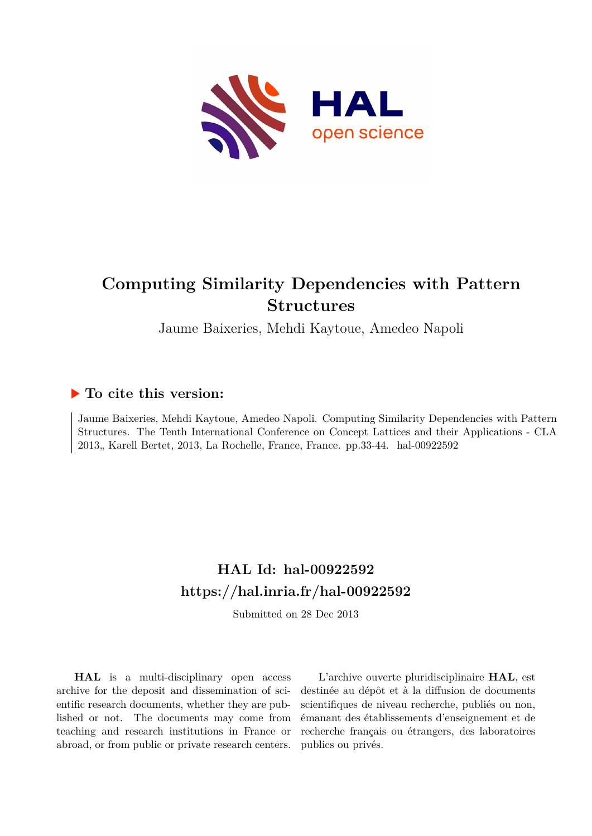

# **Computing Similarity Dependencies with Pattern Structures**

Jaume Baixeries, Mehdi Kaytoue, Amedeo Napoli

# **To cite this version:**

Jaume Baixeries, Mehdi Kaytoue, Amedeo Napoli. Computing Similarity Dependencies with Pattern Structures. The Tenth International Conference on Concept Lattices and their Applications - CLA 2013, Karell Bertet, 2013, La Rochelle, France, France. pp.33-44. hal-00922592

# **HAL Id: hal-00922592 <https://hal.inria.fr/hal-00922592>**

Submitted on 28 Dec 2013

**HAL** is a multi-disciplinary open access archive for the deposit and dissemination of scientific research documents, whether they are published or not. The documents may come from teaching and research institutions in France or abroad, or from public or private research centers.

L'archive ouverte pluridisciplinaire **HAL**, est destinée au dépôt et à la diffusion de documents scientifiques de niveau recherche, publiés ou non, émanant des établissements d'enseignement et de recherche français ou étrangers, des laboratoires publics ou privés.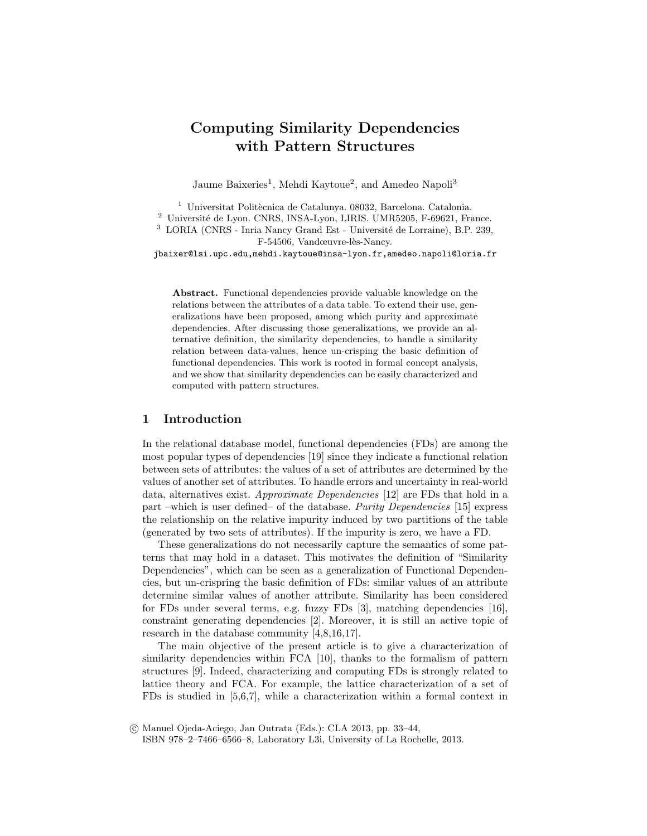# Computing Similarity Dependencies with Pattern Structures

Jaume Baixeries<sup>1</sup>, Mehdi Kaytoue<sup>2</sup>, and Amedeo Napoli<sup>3</sup>

 $1$  Universitat Politècnica de Catalunya. 08032, Barcelona. Catalonia.  $^2\,$ Université de Lyon. CNRS, INSA-Lyon, LIRIS. UMR5205, F-69621, France.  $3$  LORIA (CNRS - Inria Nancy Grand Est - Université de Lorraine), B.P. 239, F-54506, Vandœuvre-lès-Nancy. jbaixer@lsi.upc.edu,mehdi.kaytoue@insa-lyon.fr,amedeo.napoli@loria.fr

Abstract. Functional dependencies provide valuable knowledge on the relations between the attributes of a data table. To extend their use, generalizations have been proposed, among which purity and approximate dependencies. After discussing those generalizations, we provide an alternative definition, the similarity dependencies, to handle a similarity relation between data-values, hence un-crisping the basic definition of functional dependencies. This work is rooted in formal concept analysis, and we show that similarity dependencies can be easily characterized and computed with pattern structures.

## 1 Introduction

In the relational database model, functional dependencies (FDs) are among the most popular types of dependencies [19] since they indicate a functional relation between sets of attributes: the values of a set of attributes are determined by the values of another set of attributes. To handle errors and uncertainty in real-world data, alternatives exist. Approximate Dependencies [12] are FDs that hold in a part –which is user defined– of the database. Purity Dependencies [15] express the relationship on the relative impurity induced by two partitions of the table (generated by two sets of attributes). If the impurity is zero, we have a FD.

These generalizations do not necessarily capture the semantics of some patterns that may hold in a dataset. This motivates the definition of "Similarity Dependencies", which can be seen as a generalization of Functional Dependencies, but un-crispring the basic definition of FDs: similar values of an attribute determine similar values of another attribute. Similarity has been considered for FDs under several terms, e.g. fuzzy FDs [3], matching dependencies [16], constraint generating dependencies [2]. Moreover, it is still an active topic of research in the database community [4,8,16,17].

The main objective of the present article is to give a characterization of similarity dependencies within FCA [10], thanks to the formalism of pattern structures [9]. Indeed, characterizing and computing FDs is strongly related to lattice theory and FCA. For example, the lattice characterization of a set of FDs is studied in [5,6,7], while a characterization within a formal context in

c Manuel Ojeda-Aciego, Jan Outrata (Eds.): CLA 2013, pp. 33–44,

ISBN 978–2–7466–6566–8, Laboratory L3i, University of La Rochelle, 2013.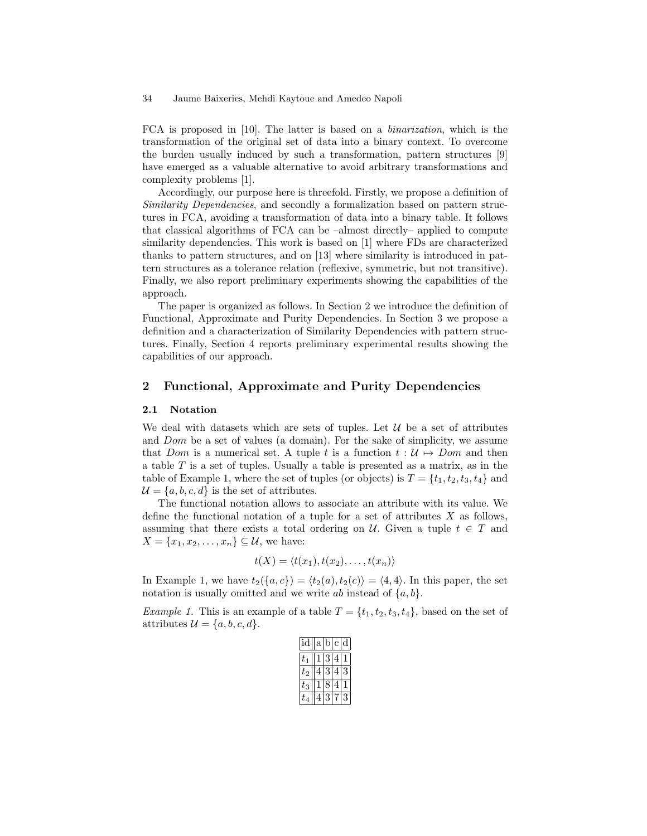FCA is proposed in [10]. The latter is based on a binarization, which is the transformation of the original set of data into a binary context. To overcome the burden usually induced by such a transformation, pattern structures [9] have emerged as a valuable alternative to avoid arbitrary transformations and complexity problems [1].

Accordingly, our purpose here is threefold. Firstly, we propose a definition of Similarity Dependencies, and secondly a formalization based on pattern structures in FCA, avoiding a transformation of data into a binary table. It follows that classical algorithms of FCA can be –almost directly– applied to compute similarity dependencies. This work is based on [1] where FDs are characterized thanks to pattern structures, and on [13] where similarity is introduced in pattern structures as a tolerance relation (reflexive, symmetric, but not transitive). Finally, we also report preliminary experiments showing the capabilities of the approach.

The paper is organized as follows. In Section 2 we introduce the definition of Functional, Approximate and Purity Dependencies. In Section 3 we propose a definition and a characterization of Similarity Dependencies with pattern structures. Finally, Section 4 reports preliminary experimental results showing the capabilities of our approach.

## 2 Functional, Approximate and Purity Dependencies

#### 2.1 Notation

We deal with datasets which are sets of tuples. Let  $\mathcal U$  be a set of attributes and Dom be a set of values (a domain). For the sake of simplicity, we assume that Dom is a numerical set. A tuple t is a function  $t : U \rightarrow Dom$  and then a table  $T$  is a set of tuples. Usually a table is presented as a matrix, as in the table of Example 1, where the set of tuples (or objects) is  $T = \{t_1, t_2, t_3, t_4\}$  and  $\mathcal{U} = \{a, b, c, d\}$  is the set of attributes.

The functional notation allows to associate an attribute with its value. We define the functional notation of a tuple for a set of attributes  $X$  as follows, assuming that there exists a total ordering on U. Given a tuple  $t \in T$  and  $X = \{x_1, x_2, \ldots, x_n\} \subseteq \mathcal{U}$ , we have:

$$
t(X) = \langle t(x_1), t(x_2), \dots, t(x_n) \rangle
$$

In Example 1, we have  $t_2({a, c}) = \langle t_2(a), t_2(c) \rangle = \langle 4, 4 \rangle$ . In this paper, the set notation is usually omitted and we write ab instead of  $\{a, b\}.$ 

*Example 1.* This is an example of a table  $T = \{t_1, t_2, t_3, t_4\}$ , based on the set of attributes  $\mathcal{U} = \{a, b, c, d\}.$ 

| id    | a b |   | C | d |
|-------|-----|---|---|---|
| $t_1$ |     | 3 | 4 |   |
| $t_2$ |     |   |   |   |
| २     |     |   |   |   |
|       |     |   |   |   |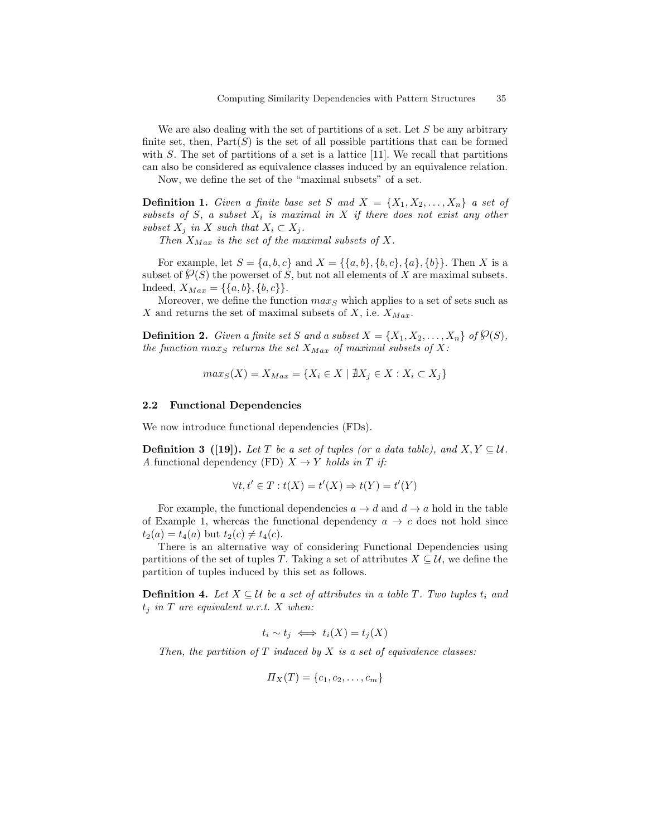We are also dealing with the set of partitions of a set. Let  $S$  be any arbitrary finite set, then,  $Part(S)$  is the set of all possible partitions that can be formed with  $S$ . The set of partitions of a set is a lattice [11]. We recall that partitions can also be considered as equivalence classes induced by an equivalence relation.

Now, we define the set of the "maximal subsets" of a set.

**Definition 1.** Given a finite base set S and  $X = \{X_1, X_2, \ldots, X_n\}$  a set of subsets of S, a subset  $X_i$  is maximal in X if there does not exist any other subset  $X_j$  in X such that  $X_i \subset X_j$ .

Then  $X_{Max}$  is the set of the maximal subsets of X.

For example, let  $S = \{a, b, c\}$  and  $X = \{\{a, b\}, \{b, c\}, \{a\}, \{b\}\}\.$  Then X is a subset of  $\mathcal{O}(S)$  the powerset of S, but not all elements of X are maximal subsets. Indeed,  $X_{Max} = \{\{a, b\}, \{b, c\}\}.$ 

Moreover, we define the function  $max_S$  which applies to a set of sets such as X and returns the set of maximal subsets of X, i.e.  $X_{Max}$ .

**Definition 2.** Given a finite set S and a subset  $X = \{X_1, X_2, \ldots, X_n\}$  of  $\mathcal{O}(S)$ , the function maxs returns the set  $X_{Max}$  of maximal subsets of X:

$$
max_S(X) = X_{Max} = \{X_i \in X \mid \nexists X_j \in X : X_i \subset X_j\}
$$

#### 2.2 Functional Dependencies

We now introduce functional dependencies  $(FDs)$ .

**Definition 3** ([19]). Let T be a set of tuples (or a data table), and  $X, Y \subseteq U$ . A functional dependency (FD)  $X \to Y$  holds in T if:

$$
\forall t, t' \in T : t(X) = t'(X) \Rightarrow t(Y) = t'(Y)
$$

For example, the functional dependencies  $a \to d$  and  $d \to a$  hold in the table of Example 1, whereas the functional dependency  $a \rightarrow c$  does not hold since  $t_2(a) = t_4(a)$  but  $t_2(c) \neq t_4(c)$ .

There is an alternative way of considering Functional Dependencies using partitions of the set of tuples T. Taking a set of attributes  $X \subseteq \mathcal{U}$ , we define the partition of tuples induced by this set as follows.

**Definition 4.** Let  $X \subseteq \mathcal{U}$  be a set of attributes in a table T. Two tuples  $t_i$  and  $t_i$  in T are equivalent w.r.t. X when:

$$
t_i \sim t_j \iff t_i(X) = t_j(X)
$$

Then, the partition of  $T$  induced by  $X$  is a set of equivalence classes:

$$
\Pi_X(T) = \{c_1, c_2, \ldots, c_m\}
$$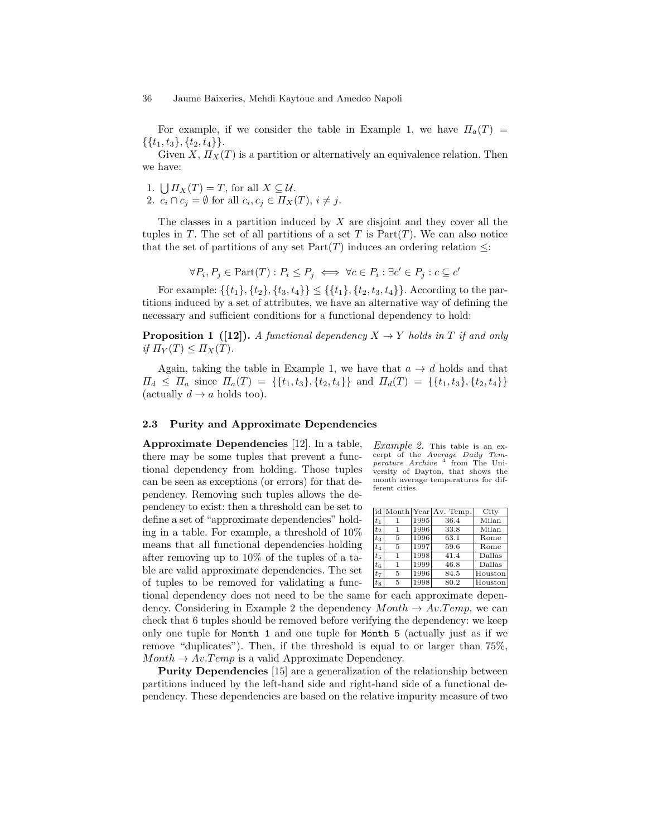For example, if we consider the table in Example 1, we have  $\Pi_a(T)$  =  $\{\{t_1, t_3\}, \{t_2, t_4\}\}.$ 

Given X,  $\Pi_X(T)$  is a partition or alternatively an equivalence relation. Then we have:

1.  $\bigcup \Pi_X(T) = T$ , for all  $X \subseteq \mathcal{U}$ . 2.  $c_i \cap c_j = \emptyset$  for all  $c_i, c_j \in \Pi_X(T)$ ,  $i \neq j$ .

The classes in a partition induced by  $X$  are disjoint and they cover all the tuples in T. The set of all partitions of a set T is  $Part(T)$ . We can also notice that the set of partitions of any set  $Part(T)$  induces an ordering relation  $\leq$ :

 $\forall P_i, P_j \in \text{Part}(T) : P_i \leq P_j \iff \forall c \in P_i : \exists c' \in P_j : c \subseteq c'$ 

For example:  $\{\{t_1\}, \{t_2\}, \{t_3, t_4\}\} \leq \{\{t_1\}, \{t_2, t_3, t_4\}\}.$  According to the partitions induced by a set of attributes, we have an alternative way of defining the necessary and sufficient conditions for a functional dependency to hold:

**Proposition 1** ([12]). A functional dependency  $X \to Y$  holds in T if and only if  $\Pi_Y(T) \leq \Pi_X(T)$ .

Again, taking the table in Example 1, we have that  $a \to d$  holds and that  $\Pi_d \leq \Pi_a$  since  $\Pi_a(T) = \{\{t_1, t_3\}, \{t_2, t_4\}\}\$  and  $\Pi_d(T) = \{\{t_1, t_3\}, \{t_2, t_4\}\}\$ (actually  $d \to a$  holds too).

#### 2.3 Purity and Approximate Dependencies

Approximate Dependencies [12]. In a table, there may be some tuples that prevent a functional dependency from holding. Those tuples can be seen as exceptions (or errors) for that dependency. Removing such tuples allows the dependency to exist: then a threshold can be set to define a set of "approximate dependencies" holding in a table. For example, a threshold of 10% means that all functional dependencies holding after removing up to 10% of the tuples of a table are valid approximate dependencies. The set of tuples to be removed for validating a func-

*Example 2.* This table is an excerpt of the Average Daily Tem-<br>perature  $Archive$   $4$  from The Uniperature Archive <sup>4</sup> from The University of Dayton, that shows the month average temperatures for different cities.

|         | id Month Year |      | Av. Temp. | City    |
|---------|---------------|------|-----------|---------|
| $t_{1}$ |               | 1995 | 36.4      | Milan   |
| $t_2$   | 1             | 1996 | 33.8      | Milan   |
| $t_3$   | 5             | 1996 | 63.1      | Rome    |
| $t_4$   | 5             | 1997 | 59.6      | Rome    |
| $t_5$   | 1             | 1998 | 41.4      | Dallas  |
| $t_6$   | 1             | 1999 | 46.8      | Dallas  |
| $t_7$   | 5             | 1996 | 84.5      | Houston |
| $t_{8}$ | 5             | 1998 | 80.2      | Houston |

tional dependency does not need to be the same for each approximate dependency. Considering in Example 2 the dependency  $Month \rightarrow Av.Temp$ , we can check that 6 tuples should be removed before verifying the dependency: we keep only one tuple for Month 1 and one tuple for Month 5 (actually just as if we remove "duplicates"). Then, if the threshold is equal to or larger than 75%,  $Month \rightarrow Av.Temp$  is a valid Approximate Dependency.

Purity Dependencies [15] are a generalization of the relationship between partitions induced by the left-hand side and right-hand side of a functional dependency. These dependencies are based on the relative impurity measure of two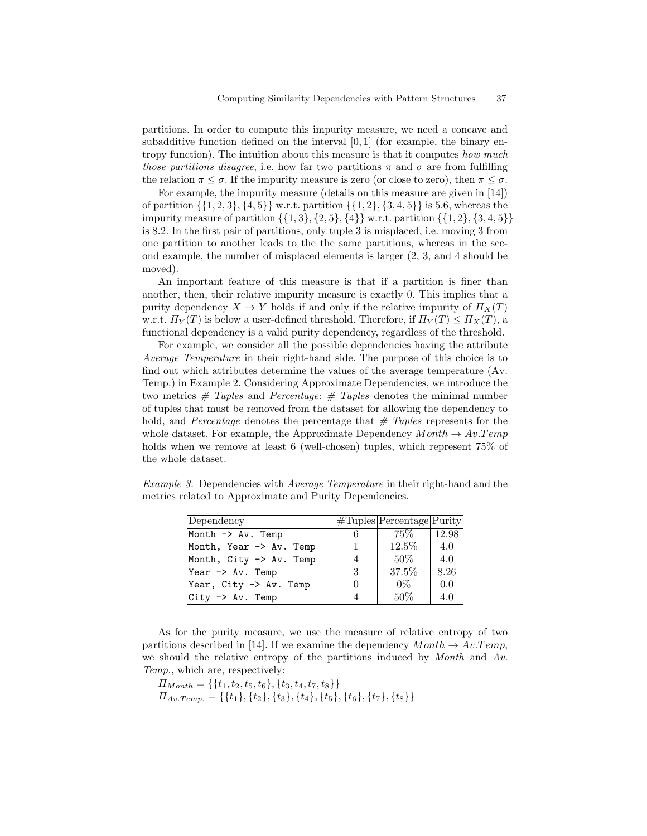partitions. In order to compute this impurity measure, we need a concave and subadditive function defined on the interval  $[0, 1]$  (for example, the binary entropy function). The intuition about this measure is that it computes how much those partitions disagree, i.e. how far two partitions  $\pi$  and  $\sigma$  are from fulfilling the relation  $\pi \leq \sigma$ . If the impurity measure is zero (or close to zero), then  $\pi \leq \sigma$ .

For example, the impurity measure (details on this measure are given in [14]) of partition  $\{\{1, 2, 3\}, \{4, 5\}\}\$  w.r.t. partition  $\{\{1, 2\}, \{3, 4, 5\}\}\$  is 5.6, whereas the impurity measure of partition  $\{\{1,3\},\{2,5\},\{4\}\}\$  w.r.t. partition  $\{\{1,2\},\{3,4,5\}\}\$ is 8.2. In the first pair of partitions, only tuple 3 is misplaced, i.e. moving 3 from one partition to another leads to the the same partitions, whereas in the second example, the number of misplaced elements is larger (2, 3, and 4 should be moved).

An important feature of this measure is that if a partition is finer than another, then, their relative impurity measure is exactly 0. This implies that a purity dependency  $X \to Y$  holds if and only if the relative impurity of  $\Pi_X(T)$ w.r.t.  $\Pi_Y(T)$  is below a user-defined threshold. Therefore, if  $\Pi_Y(T) \leq \Pi_X(T)$ , a functional dependency is a valid purity dependency, regardless of the threshold.

For example, we consider all the possible dependencies having the attribute Average Temperature in their right-hand side. The purpose of this choice is to find out which attributes determine the values of the average temperature (Av. Temp.) in Example 2. Considering Approximate Dependencies, we introduce the two metrics  $#$  Tuples and Percentage:  $#$  Tuples denotes the minimal number of tuples that must be removed from the dataset for allowing the dependency to hold, and *Percentage* denotes the percentage that  $\#$  Tuples represents for the whole dataset. For example, the Approximate Dependency  $Month \rightarrow Av.Temp$ holds when we remove at least 6 (well-chosen) tuples, which represent  $75\%$  of the whole dataset.

Example 3. Dependencies with Average Temperature in their right-hand and the metrics related to Approximate and Purity Dependencies.

| Dependency                          |   | $\#Tuples Percentage Purity$ |       |
|-------------------------------------|---|------------------------------|-------|
| Month $\rightarrow$ Av. Temp        | 6 | $75\%$                       | 12.98 |
| Month, Year -> Av. Temp             |   | 12.5%                        | 4.0   |
| Month, $City \rightarrow Av$ . Temp | 4 | $50\%$                       | 4.0   |
| Year -> Av. Temp                    | 3 | 37.5%                        | 8.26  |
| Year, City -> Av. Temp              | 0 | $0\%$                        | 0.0   |
| $City$ -> $Av$ . Temp               | 4 | 50%                          | 4.0   |

As for the purity measure, we use the measure of relative entropy of two partitions described in [14]. If we examine the dependency  $Month \rightarrow Av.Temp$ , we should the relative entropy of the partitions induced by *Month* and  $Av$ . Temp., which are, respectively:

 $\Pi_{Month} = \{\{t_1, t_2, t_5, t_6\}, \{t_3, t_4, t_7, t_8\}\}$  $\Pi_{Av.Temp.} = \{\{t_1\}, \{t_2\}, \{t_3\}, \{t_4\}, \{t_5\}, \{t_6\}, \{t_7\}, \{t_8\}\}$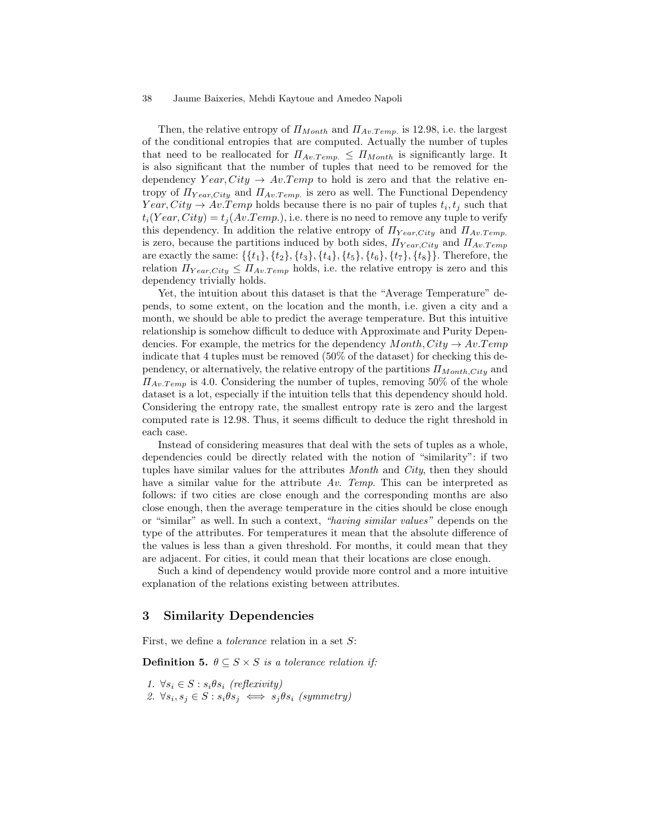Then, the relative entropy of  $\Pi_{Month}$  and  $\Pi_{Av\cdot Temp}$  is 12.98, i.e. the largest of the conditional entropies that are computed. Actually the number of tuples that need to be reallocated for  $\Pi_{Av,Temp.} \leq \Pi_{Month}$  is significantly large. It is also significant that the number of tuples that need to be removed for the dependency  $Year, City \rightarrow Av. Temp$  to hold is zero and that the relative entropy of  $\Pi_{Year,City}$  and  $\Pi_{Av.Temp.}$  is zero as well. The Functional Dependency  $Year, City \rightarrow Av.Temp$  holds because there is no pair of tuples  $t_i, t_j$  such that  $t_i(Year, City) = t_j(Av.Temp.),$  i.e. there is no need to remove any tuple to verify this dependency. In addition the relative entropy of  $\Pi_{Year,City}$  and  $\Pi_{Av.Temp}$ . is zero, because the partitions induced by both sides,  $\Pi_{Year,City}$  and  $\Pi_{Av.Temp}$ are exactly the same:  $\{\{t_1\}, \{t_2\}, \{t_3\}, \{t_4\}, \{t_5\}, \{t_6\}, \{t_7\}, \{t_8\}\}.$  Therefore, the relation  $\Pi_{Year,City} \leq \Pi_{Av,Temp}$  holds, i.e. the relative entropy is zero and this dependency trivially holds.

Yet, the intuition about this dataset is that the "Average Temperature" depends, to some extent, on the location and the month, i.e. given a city and a month, we should be able to predict the average temperature. But this intuitive relationship is somehow difficult to deduce with Approximate and Purity Dependencies. For example, the metrics for the dependency  $Month, City \rightarrow Av.Temp$ indicate that 4 tuples must be removed (50% of the dataset) for checking this dependency, or alternatively, the relative entropy of the partitions  $\Pi_{Month,City}$  and  $\Pi_{Av,Temp}$  is 4.0. Considering the number of tuples, removing 50% of the whole dataset is a lot, especially if the intuition tells that this dependency should hold. Considering the entropy rate, the smallest entropy rate is zero and the largest computed rate is 12.98. Thus, it seems difficult to deduce the right threshold in each case.

Instead of considering measures that deal with the sets of tuples as a whole, dependencies could be directly related with the notion of "similarity": if two tuples have similar values for the attributes *Month* and *City*, then they should have a similar value for the attribute Av. Temp. This can be interpreted as follows: if two cities are close enough and the corresponding months are also close enough, then the average temperature in the cities should be close enough or "similar" as well. In such a context, "having similar values" depends on the type of the attributes. For temperatures it mean that the absolute difference of the values is less than a given threshold. For months, it could mean that they are adjacent. For cities, it could mean that their locations are close enough.

Such a kind of dependency would provide more control and a more intuitive explanation of the relations existing between attributes.

# 3 Similarity Dependencies

First, we define a *tolerance* relation in a set S:

**Definition 5.**  $\theta \subseteq S \times S$  is a tolerance relation if:

1.  $\forall s_i \in S : s_i \theta s_i$  (reflexivity) 2.  $\forall s_i, s_j \in S : s_i \theta s_j \iff s_j \theta s_i$  (symmetry)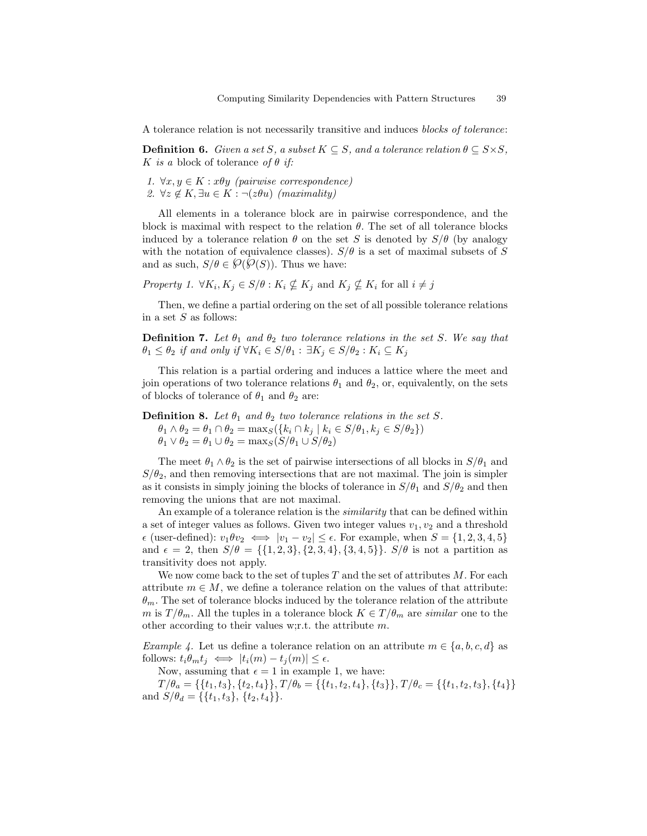A tolerance relation is not necessarily transitive and induces blocks of tolerance:

**Definition 6.** Given a set S, a subset  $K \subseteq S$ , and a tolerance relation  $\theta \subseteq S \times S$ , K is a block of tolerance of  $\theta$  if:

1.  $\forall x, y \in K : x\theta y$  (pairwise correspondence) 2.  $\forall z \notin K, \exists u \in K : \neg(z\theta u)$  (maximality)

All elements in a tolerance block are in pairwise correspondence, and the block is maximal with respect to the relation  $\theta$ . The set of all tolerance blocks induced by a tolerance relation  $\theta$  on the set S is denoted by  $S/\theta$  (by analogy with the notation of equivalence classes).  $S/\theta$  is a set of maximal subsets of S and as such,  $S/\theta \in \mathcal{O}(\mathcal{O}(S))$ . Thus we have:

Property 1.  $\forall K_i, K_j \in S/\theta : K_i \nsubseteq K_j$  and  $K_j \nsubseteq K_i$  for all  $i \neq j$ 

Then, we define a partial ordering on the set of all possible tolerance relations in a set  $S$  as follows:

**Definition 7.** Let  $\theta_1$  and  $\theta_2$  two tolerance relations in the set S. We say that  $\theta_1 \leq \theta_2$  if and only if  $\forall K_i \in S/\theta_1 : \exists K_i \in S/\theta_2 : K_i \subseteq K_j$ 

This relation is a partial ordering and induces a lattice where the meet and join operations of two tolerance relations  $\theta_1$  and  $\theta_2$ , or, equivalently, on the sets of blocks of tolerance of  $\theta_1$  and  $\theta_2$  are:

**Definition 8.** Let  $\theta_1$  and  $\theta_2$  two tolerance relations in the set S.  $\theta_1 \wedge \theta_2 = \theta_1 \cap \theta_2 = \max_S(\{k_i \cap k_j \mid k_i \in S/\theta_1, k_j \in S/\theta_2\})$  $\theta_1 \vee \theta_2 = \theta_1 \cup \theta_2 = \max_S (S/\theta_1 \cup S/\theta_2)$ 

The meet  $\theta_1 \wedge \theta_2$  is the set of pairwise intersections of all blocks in  $S/\theta_1$  and  $S/\theta_2$ , and then removing intersections that are not maximal. The join is simpler as it consists in simply joining the blocks of tolerance in  $S/\theta_1$  and  $S/\theta_2$  and then removing the unions that are not maximal.

An example of a tolerance relation is the *similarity* that can be defined within a set of integer values as follows. Given two integer values  $v_1, v_2$  and a threshold  $\epsilon$  (user-defined):  $v_1 \theta v_2 \iff |v_1 - v_2| \leq \epsilon$ . For example, when  $S = \{1, 2, 3, 4, 5\}$ and  $\epsilon = 2$ , then  $S/\theta = \{\{1, 2, 3\}, \{2, 3, 4\}, \{3, 4, 5\}\}\$ .  $S/\theta$  is not a partition as transitivity does not apply.

We now come back to the set of tuples  $T$  and the set of attributes  $M$ . For each attribute  $m \in M$ , we define a tolerance relation on the values of that attribute:  $\theta_m$ . The set of tolerance blocks induced by the tolerance relation of the attribute m is  $T/\theta_m$ . All the tuples in a tolerance block  $K \in T/\theta_m$  are similar one to the other according to their values w;r.t. the attribute m.

Example 4. Let us define a tolerance relation on an attribute  $m \in \{a, b, c, d\}$  as follows:  $t_i \theta_m t_j \iff |t_i(m) - t_j(m)| \leq \epsilon$ .

Now, assuming that  $\epsilon = 1$  in example 1, we have:

 $T/\theta_a = \{\{t_1, t_3\}, \{t_2, t_4\}\}, T/\theta_b = \{\{t_1, t_2, t_4\}, \{t_3\}\}, T/\theta_c = \{\{t_1, t_2, t_3\}, \{t_4\}\}$ and  $S/\theta_d = \{\{t_1, t_3\}, \{t_2, t_4\}\}.$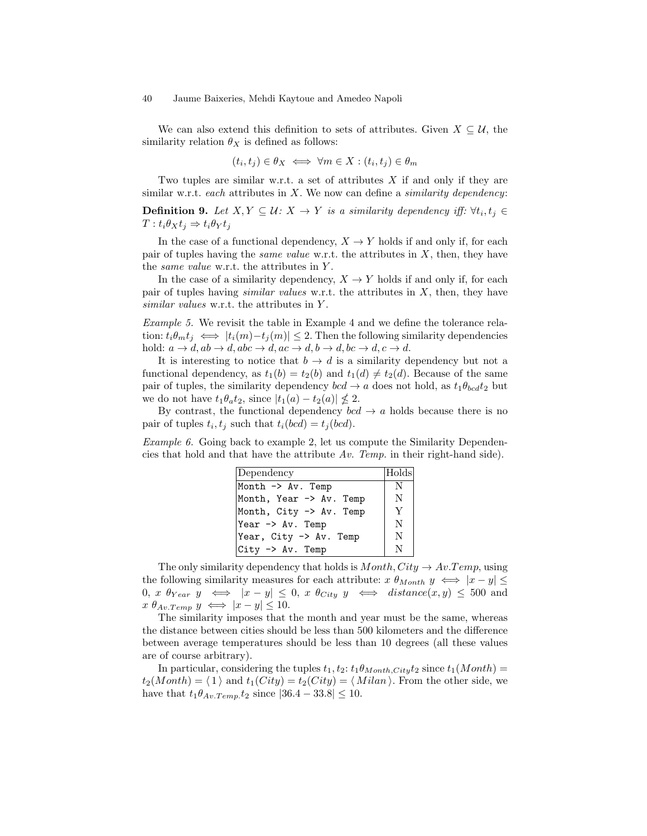We can also extend this definition to sets of attributes. Given  $X \subseteq \mathcal{U}$ , the similarity relation  $\theta_X$  is defined as follows:

$$
(t_i, t_j) \in \theta_X \iff \forall m \in X : (t_i, t_j) \in \theta_m
$$

Two tuples are similar w.r.t. a set of attributes  $X$  if and only if they are similar w.r.t. each attributes in  $X$ . We now can define a *similarity dependency*:

**Definition 9.** Let  $X, Y \subseteq \mathcal{U}$ :  $X \to Y$  is a similarity dependency iff:  $\forall t_i, t_j \in$  $T: t_i \theta_X t_j \Rightarrow t_i \theta_Y t_j$ 

In the case of a functional dependency,  $X \to Y$  holds if and only if, for each pair of tuples having the *same value* w.r.t. the attributes in  $X$ , then, they have the *same value* w.r.t. the attributes in Y.

In the case of a similarity dependency,  $X \to Y$  holds if and only if, for each pair of tuples having *similar values* w.r.t. the attributes in  $X$ , then, they have similar values w.r.t. the attributes in Y.

Example 5. We revisit the table in Example 4 and we define the tolerance relation:  $t_i \theta_m t_j \iff |t_i(m) - t_j(m)| \leq 2$ . Then the following similarity dependencies hold:  $a \to d$ ,  $ab \to d$ ,  $abc \to d$ ,  $ac \to d$ ,  $b \to d$ ,  $bc \to d$ ,  $c \to d$ .

It is interesting to notice that  $b \to d$  is a similarity dependency but not a functional dependency, as  $t_1(b) = t_2(b)$  and  $t_1(d) \neq t_2(d)$ . Because of the same pair of tuples, the similarity dependency  $bcd \rightarrow a$  does not hold, as  $t_1 \theta_{bcd} t_2$  but we do not have  $t_1 \theta_a t_2$ , since  $|t_1(a) - t_2(a)| \nleq 2$ .

By contrast, the functional dependency  $bcd \rightarrow a$  holds because there is no pair of tuples  $t_i, t_j$  such that  $t_i(bcd) = t_j(bcd)$ .

Example 6. Going back to example 2, let us compute the Similarity Dependencies that hold and that have the attribute  $Av$ . Temp. in their right-hand side).

| Dependency                   | Holds |
|------------------------------|-------|
| Month $\rightarrow$ Av. Temp | N     |
| Month, Year -> Av. Temp      | N     |
| Month, City -> Av. Temp      | Y     |
| Year -> Av. Temp             | N     |
| Year, City -> Av. Temp       | N     |
| $ City \rightarrow Av. Temp$ | N     |

The only similarity dependency that holds is  $Month, City \rightarrow Av. Temp$ , using the following similarity measures for each attribute:  $x \theta_{Month} y \iff |x - y| \leq$ 0, x  $\theta_{Year}$  y  $\iff$   $|x-y| \leq 0$ , x  $\theta_{City}$  y  $\iff$  distance $(x, y) \leq 500$  and  $x \theta_{Av.Temp} y \iff |x - y| \leq 10.$ 

The similarity imposes that the month and year must be the same, whereas the distance between cities should be less than 500 kilometers and the difference between average temperatures should be less than 10 degrees (all these values are of course arbitrary).

In particular, considering the tuples  $t_1, t_2$ :  $t_1 \theta_{Month,City} t_2$  since  $t_1(Month)$  =  $t_2(Month) = \langle 1 \rangle$  and  $t_1(City) = t_2(City) = \langle Milan \rangle$ . From the other side, we have that  $t_1 \theta_{Av.Temp.} t_2$  since  $|36.4 - 33.8| \leq 10$ .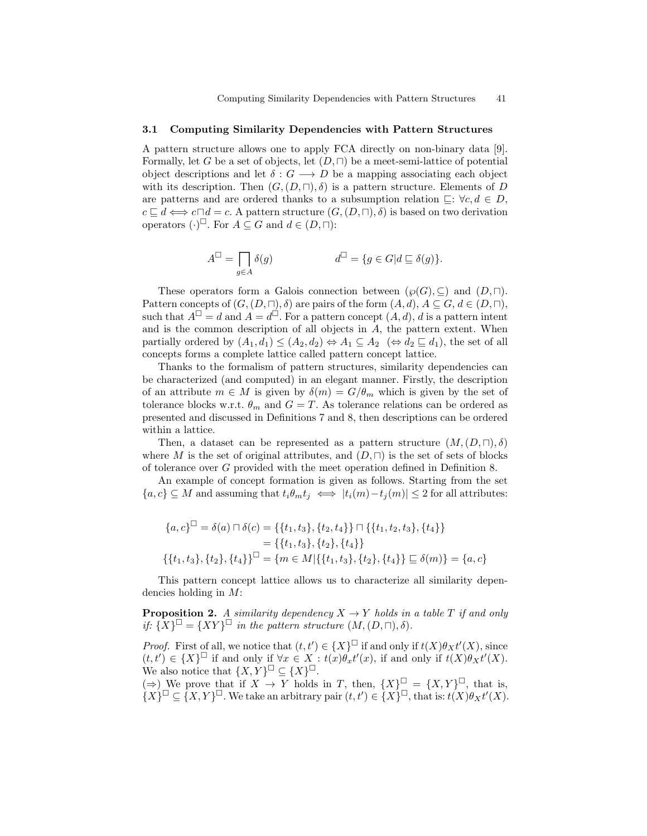#### 3.1 Computing Similarity Dependencies with Pattern Structures

A pattern structure allows one to apply FCA directly on non-binary data [9]. Formally, let G be a set of objects, let  $(D, \Box)$  be a meet-semi-lattice of potential object descriptions and let  $\delta: G \longrightarrow D$  be a mapping associating each object with its description. Then  $(G, (D, \sqcap), \delta)$  is a pattern structure. Elements of D are patterns and are ordered thanks to a subsumption relation  $\Box: \forall c, d \in D$ ,  $c \sqsubseteq d \Longleftrightarrow c \sqcap d = c$ . A pattern structure  $(G, (D, \sqcap), \delta)$  is based on two derivation operators  $(\cdot)^{\square}$ . For  $A \subseteq G$  and  $d \in (D, \square)$ :

$$
A^{\Box} = \prod_{g \in A} \delta(g) \qquad d^{\Box} = \{ g \in G | d \sqsubseteq \delta(g) \}.
$$

These operators form a Galois connection between  $(\wp(G), \subseteq)$  and  $(D, \sqcap)$ . Pattern concepts of  $(G,(D,\sqcap),\delta)$  are pairs of the form  $(A,d), A \subseteq G, d \in (D,\sqcap),$ such that  $A^{\square} = d$  and  $A = d^{\square}$ . For a pattern concept  $(A, d)$ , d is a pattern intent and is the common description of all objects in  $A$ , the pattern extent. When partially ordered by  $(A_1, d_1) \leq (A_2, d_2) \Leftrightarrow A_1 \subseteq A_2 \ (\Leftrightarrow d_2 \sqsubseteq d_1)$ , the set of all concepts forms a complete lattice called pattern concept lattice.

Thanks to the formalism of pattern structures, similarity dependencies can be characterized (and computed) in an elegant manner. Firstly, the description of an attribute  $m \in M$  is given by  $\delta(m) = G/\theta_m$  which is given by the set of tolerance blocks w.r.t.  $\theta_m$  and  $G = T$ . As tolerance relations can be ordered as presented and discussed in Definitions 7 and 8, then descriptions can be ordered within a lattice.

Then, a dataset can be represented as a pattern structure  $(M,(D,\sqcap),\delta)$ where M is the set of original attributes, and  $(D, \Box)$  is the set of sets of blocks of tolerance over G provided with the meet operation defined in Definition 8.

An example of concept formation is given as follows. Starting from the set  ${a, c} \subseteq M$  and assuming that  $t_i \theta_m t_j \iff |t_i(m) - t_j(m)| \leq 2$  for all attributes:

$$
\{a, c\}^{\square} = \delta(a) \sqcap \delta(c) = \{\{t_1, t_3\}, \{t_2, t_4\}\} \sqcap \{\{t_1, t_2, t_3\}, \{t_4\}\}\
$$

$$
= \{\{t_1, t_3\}, \{t_2\}, \{t_4\}\}\
$$

$$
\{\{t_1, t_3\}, \{t_2\}, \{t_4\}\}^{\square} = \{m \in M | \{\{t_1, t_3\}, \{t_2\}, \{t_4\}\} \sqsubseteq \delta(m)\} = \{a, c\}
$$

This pattern concept lattice allows us to characterize all similarity dependencies holding in M:

**Proposition 2.** A similarity dependency  $X \to Y$  holds in a table T if and only if:  $\{X\}^{\square} = \{XY\}^{\square}$  in the pattern structure  $(M,(D,\square),\delta)$ .

*Proof.* First of all, we notice that  $(t, t') \in \{X\}^{\square}$  if and only if  $t(X)\theta_X t'(X)$ , since  $(t, t') \in \{X\}^{\square}$  if and only if  $\forall x \in X': t(x)\theta_x t'(x)$ , if and only if  $t(X)\theta_X t'(X)$ . We also notice that  $\{X, Y\}^{\square} \subseteq \{X\}^{\square}$ .

(⇒) We prove that if  $X \to Y$  holds in T, then,  $\{X\}^{\square} = \{X, Y\}^{\square}$ , that is,  ${X}^{\square} \subseteq {X,Y}^{\square}$ . We take an arbitrary pair  $(t,t') \in {X}^{\square}$ , that is:  $t(X)\theta_X t'(X)$ .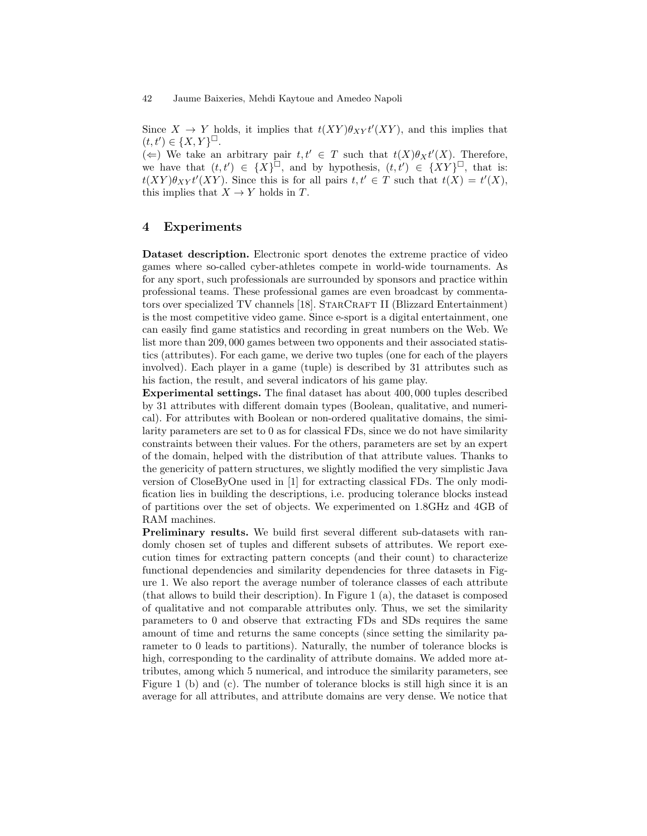Since  $X \to Y$  holds, it implies that  $t(XY)\theta_{XY}t'(XY)$ , and this implies that  $(t, t') \in \{X, Y\}^{\square}.$ 

(←) We take an arbitrary pair  $t, t' \in T$  such that  $t(X)\theta_X t'(X)$ . Therefore, we have that  $(t,t') \in \{X\}^{\square}$ , and by hypothesis,  $(t,t') \in \{XY\}^{\square}$ , that is:  $t(XY)\theta_{XY}t'(XY)$ . Since this is for all pairs  $t, t' \in T$  such that  $t(X) = t'(X)$ , this implies that  $X \to Y$  holds in T.

# 4 Experiments

Dataset description. Electronic sport denotes the extreme practice of video games where so-called cyber-athletes compete in world-wide tournaments. As for any sport, such professionals are surrounded by sponsors and practice within professional teams. These professional games are even broadcast by commentators over specialized TV channels [18]. STARCRAFT II (Blizzard Entertainment) is the most competitive video game. Since e-sport is a digital entertainment, one can easily find game statistics and recording in great numbers on the Web. We list more than 209, 000 games between two opponents and their associated statistics (attributes). For each game, we derive two tuples (one for each of the players involved). Each player in a game (tuple) is described by 31 attributes such as his faction, the result, and several indicators of his game play.

Experimental settings. The final dataset has about 400, 000 tuples described by 31 attributes with different domain types (Boolean, qualitative, and numerical). For attributes with Boolean or non-ordered qualitative domains, the similarity parameters are set to 0 as for classical FDs, since we do not have similarity constraints between their values. For the others, parameters are set by an expert of the domain, helped with the distribution of that attribute values. Thanks to the genericity of pattern structures, we slightly modified the very simplistic Java version of CloseByOne used in [1] for extracting classical FDs. The only modification lies in building the descriptions, i.e. producing tolerance blocks instead of partitions over the set of objects. We experimented on 1.8GHz and 4GB of RAM machines.

Preliminary results. We build first several different sub-datasets with randomly chosen set of tuples and different subsets of attributes. We report execution times for extracting pattern concepts (and their count) to characterize functional dependencies and similarity dependencies for three datasets in Figure 1. We also report the average number of tolerance classes of each attribute (that allows to build their description). In Figure 1 (a), the dataset is composed of qualitative and not comparable attributes only. Thus, we set the similarity parameters to 0 and observe that extracting FDs and SDs requires the same amount of time and returns the same concepts (since setting the similarity parameter to 0 leads to partitions). Naturally, the number of tolerance blocks is high, corresponding to the cardinality of attribute domains. We added more attributes, among which 5 numerical, and introduce the similarity parameters, see Figure 1 (b) and (c). The number of tolerance blocks is still high since it is an average for all attributes, and attribute domains are very dense. We notice that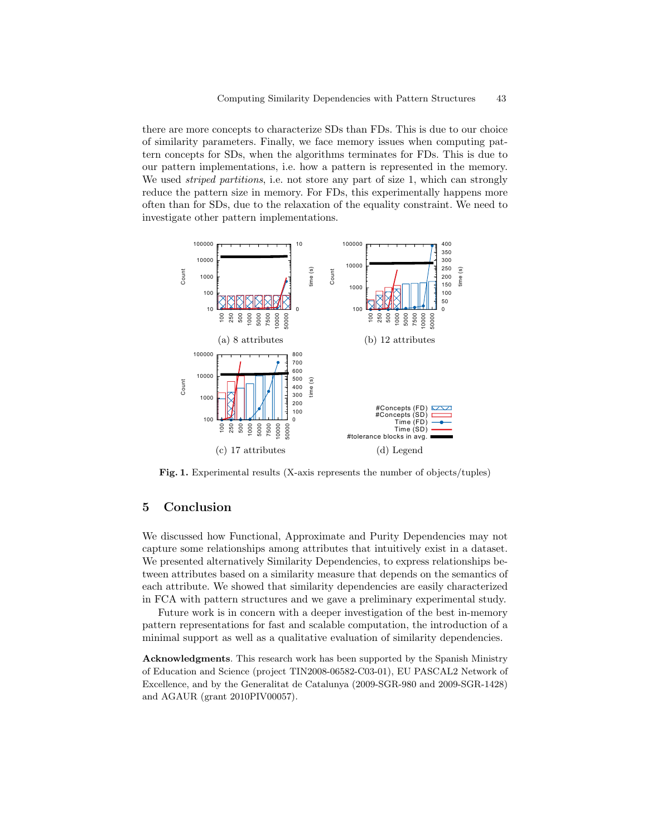there are more concepts to characterize SDs than FDs. This is due to our choice of similarity parameters. Finally, we face memory issues when computing pattern concepts for SDs, when the algorithms terminates for FDs. This is due to our pattern implementations, i.e. how a pattern is represented in the memory. We used *striped partitions*, i.e. not store any part of size 1, which can strongly reduce the pattern size in memory. For FDs, this experimentally happens more often than for SDs, due to the relaxation of the equality constraint. We need to investigate other pattern implementations.



Fig. 1. Experimental results (X-axis represents the number of objects/tuples)

# 5 Conclusion

We discussed how Functional, Approximate and Purity Dependencies may not capture some relationships among attributes that intuitively exist in a dataset. We presented alternatively Similarity Dependencies, to express relationships between attributes based on a similarity measure that depends on the semantics of each attribute. We showed that similarity dependencies are easily characterized in FCA with pattern structures and we gave a preliminary experimental study.

Future work is in concern with a deeper investigation of the best in-memory pattern representations for fast and scalable computation, the introduction of a minimal support as well as a qualitative evaluation of similarity dependencies.

Acknowledgments. This research work has been supported by the Spanish Ministry of Education and Science (project TIN2008-06582-C03-01), EU PASCAL2 Network of Excellence, and by the Generalitat de Catalunya (2009-SGR-980 and 2009-SGR-1428) and AGAUR (grant 2010PIV00057).